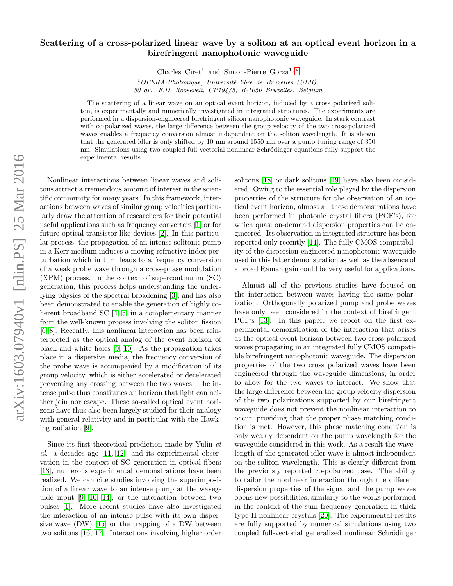## Scattering of a cross-polarized linear wave by a soliton at an optical event horizon in a birefringent nanophotonic waveguide

Charles Ciret<sup>1</sup> and Simon-Pierre Gorza<sup>1,\*</sup>

 $1$ OPERA-Photonique, Université libre de Bruxelles (ULB), 50 av. F.D. Roosevelt, CP194/5, B-1050 Bruxelles, Belgium

The scattering of a linear wave on an optical event horizon, induced by a cross polarized soliton, is experimentally and numerically investigated in integrated structures. The experiments are performed in a dispersion-engineered birefringent silicon nanophotonic waveguide. In stark contrast with co-polarized waves, the large difference between the group velocity of the two cross-polarized waves enables a frequency conversion almost independent on the soliton wavelength. It is shown that the generated idler is only shifted by 10 nm around 1550 nm over a pump tuning range of 350 nm. Simulations using two coupled full vectorial nonlinear Schrödinger equations fully support the experimental results.

Nonlinear interactions between linear waves and solitons attract a tremendous amount of interest in the scientific community for many years. In this framework, interactions between waves of similar group velocities particularly draw the attention of researchers for their potential useful applications such as frequency converters [\[1\]](#page-4-0) or for future optical transistor-like devices [\[2\]](#page-4-1). In this particular process, the propagation of an intense solitonic pump in a Kerr medium induces a moving refractive index perturbation which in turn leads to a frequency conversion of a weak probe wave through a cross-phase modulation (XPM) process. In the context of supercontinuum (SC) generation, this process helps understanding the underlying physics of the spectral broadening [\[3\]](#page-4-2), and has also been demonstrated to enable the generation of highly coherent broadband SC [\[4,](#page-4-3) [5\]](#page-4-4) in a complementary manner from the well-known process involving the soliton fission [\[6–](#page-4-5)[8\]](#page-4-6). Recently, this nonlinear interaction has been reinterpreted as the optical analog of the event horizon of black and white holes [\[9,](#page-4-7) [10\]](#page-4-8). As the propagation takes place in a dispersive media, the frequency conversion of the probe wave is accompanied by a modification of its group velocity, which is either accelerated or decelerated preventing any crossing between the two waves. The intense pulse thus constitutes an horizon that light can neither join nor escape. These so-called optical event horizons have thus also been largely studied for their analogy with general relativity and in particular with the Hawking radiation [\[9\]](#page-4-7).

Since its first theoretical prediction made by Yulin et al. a decades ago [\[11,](#page-4-9) [12\]](#page-4-10), and its experimental observation in the context of SC generation in optical fibers [\[13\]](#page-4-11), numerous experimental demonstrations have been realized. We can cite studies involving the superimposition of a linear wave to an intense pump at the waveguide input [\[9,](#page-4-7) [10,](#page-4-8) [14\]](#page-4-12), or the interaction between two pulses [\[1\]](#page-4-0). More recent studies have also investigated the interaction of an intense pulse with its own dispersive wave (DW) [\[15\]](#page-4-13) or the trapping of a DW between two solitons [\[16,](#page-4-14) [17\]](#page-4-15). Interactions involving higher order

solitons [\[18\]](#page-4-16) or dark solitons [\[19\]](#page-4-17) have also been considered. Owing to the essential role played by the dispersion properties of the structure for the observation of an optical event horizon, almost all these demonstrations have been performed in photonic crystal fibers (PCF's), for which quasi on-demand dispersion properties can be engineered. Its observation in integrated structure has been reported only recently [\[14\]](#page-4-12). The fully CMOS compatibility of the dispersion-engineered nanophotonic waveguide used in this latter demonstration as well as the absence of a broad Raman gain could be very useful for applications.

Almost all of the previous studies have focused on the interaction between waves having the same polarization. Orthogonally polarized pump and probe waves have only been considered in the context of birefringent PCF's [\[13\]](#page-4-11). In this paper, we report on the first experimental demonstration of the interaction that arises at the optical event horizon between two cross polarized waves propagating in an integrated fully CMOS compatible birefringent nanophotonic waveguide. The dispersion properties of the two cross polarized waves have been engineered through the waveguide dimensions, in order to allow for the two waves to interact. We show that the large difference between the group velocity dispersion of the two polarizations supported by our birefringent waveguide does not prevent the nonlinear interaction to occur, providing that the proper phase matching condition is met. However, this phase matching condition is only weakly dependent on the pump wavelength for the waveguide considered in this work. As a result the wavelength of the generated idler wave is almost independent on the soliton wavelength. This is clearly different from the previously reported co-polarized case. The ability to tailor the nonlinear interaction through the different dispersion properties of the signal and the pump waves opens new possibilities, similarly to the works performed in the context of the sum frequency generation in thick type II nonlinear crystals [\[20\]](#page-4-18). The experimental results are fully supported by numerical simulations using two coupled full-vectorial generalized nonlinear Schrödinger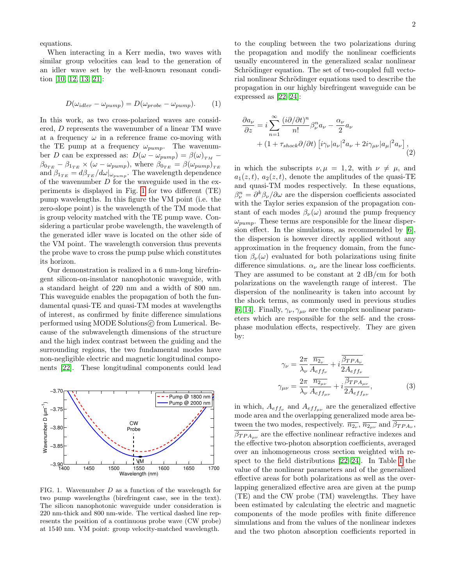equations.

When interacting in a Kerr media, two waves with similar group velocities can lead to the generation of an idler wave set by the well-known resonant condition [\[10,](#page-4-8) [12,](#page-4-10) [13,](#page-4-11) [21\]](#page-4-19):

<span id="page-1-2"></span>
$$
D(\omega_{idler} - \omega_{pump}) = D(\omega_{probe} - \omega_{pump}).
$$
 (1)

In this work, as two cross-polarized waves are considered, D represents the wavenumber of a linear TM wave at a frequency  $\omega$  in a reference frame co-moving with the TE pump at a frequency  $\omega_{pump}$ . The wavenumber D can be expressed as:  $D(\omega - \omega_{pump}) = \beta(\omega)_{TM}$  $\beta_{0_{TE}} - \beta_{1_{TE}} \times (\omega - \omega_{pump})$ , where  $\beta_{0_{TE}} = \beta(\omega_{pump})_{TE}$ and  $\beta_{1_{TE}} = d\beta_{TE}/d\omega|_{\omega_{pump}}$ . The wavelength dependence of the wavenumber  $D$  for the waveguide used in the experiments is displayed in Fig. [1](#page-1-0) for two different (TE) pump wavelengths. In this figure the VM point (i.e. the zero-slope point) is the wavelength of the TM mode that is group velocity matched with the TE pump wave. Considering a particular probe wavelength, the wavelength of the generated idler wave is located on the other side of the VM point. The wavelength conversion thus prevents the probe wave to cross the pump pulse which constitutes its horizon.

Our demonstration is realized in a 6 mm-long birefringent silicon-on-insulator nanophotonic waveguide, with a standard height of 220 nm and a width of 800 nm. This waveguide enables the propagation of both the fundamental quasi-TE and quasi-TM modes at wavelengths of interest, as confirmed by finite difference simulations performed using MODE Solutions $\odot$  from Lumerical. Because of the subwavelength dimensions of the structure and the high index contrast between the guiding and the surrounding regions, the two fundamental modes have non-negligible electric and magnetic longitudinal components [\[22\]](#page-4-20). These longitudinal components could lead



<span id="page-1-0"></span>FIG. 1. Wavenumber D as a function of the wavelength for two pump wavelengths (birefringent case, see in the text). The silicon nanophotonic waveguide under consideration is 220 nm-thick and 800 nm-wide. The vertical dashed line represents the position of a continuous probe wave (CW probe) at 1540 nm. VM point: group velocity-matched wavelength.

to the coupling between the two polarizations during the propagation and modify the nonlinear coefficients usually encountered in the generalized scalar nonlinear Schrödinger equation. The set of two-coupled full vectorial nonlinear Schrödinger equations used to describe the propagation in our highly birefringent waveguide can be expressed as [\[22–](#page-4-20)[24\]](#page-4-21):

<span id="page-1-3"></span>
$$
\frac{\partial a_{\nu}}{\partial z} = i \sum_{n=1}^{\infty} \frac{(i \partial / \partial t)^n}{n!} \beta_{\nu}^n a_{\nu} - \frac{\alpha_{\nu}}{2} a_{\nu} + (1 + \tau_{shock} \partial / \partial t) \left[ i \gamma_{\nu} |a_{\nu}|^2 a_{\nu} + 2i \gamma_{\mu \nu} |a_{\mu}|^2 a_{\nu} \right],
$$
\n(2)

in which the subscripts  $\nu, \mu = 1, 2$ , with  $\nu \neq \mu$ , and  $a_1(z, t)$ ,  $a_2(z, t)$ , denote the amplitudes of the quasi-TE and quasi-TM modes respectively. In these equations,  $\beta_{\nu}^{n} = \partial^{k} \beta_{\nu} / \partial \omega$  are the dispersion coefficients associated with the Taylor series expansion of the propagation constant of each modes  $\beta_{\nu}(\omega)$  around the pump frequency  $\omega_{pump}$ . These terms are responsible for the linear dispersion effect. In the simulations, as recommended by [\[6\]](#page-4-5), the dispersion is however directly applied without any approximation in the frequency domain, from the function  $\beta_{\nu}(\omega)$  evaluated for both polarizations using finite difference simulations.  $\alpha_{\nu}$  are the linear loss coefficients. They are assumed to be constant at 2 dB/cm for both polarizations on the wavelength range of interest. The dispersion of the nonlinearity is taken into account by the shock terms, as commonly used in previous studies [\[6,](#page-4-5) [14\]](#page-4-12). Finally,  $\gamma_{\nu}, \gamma_{\mu\nu}$  are the complex nonlinear parameters which are responsible for the self- and the crossphase modulation effects, respectively. They are given by:

<span id="page-1-1"></span>
$$
\gamma_{\nu} = \frac{2\pi}{\lambda_{\nu}} \frac{\overline{n_{2_{\nu}}}}{A_{eff_{\nu}}} + i \frac{\overline{\beta_{TPA_{\nu}}}}{2A_{eff_{\nu}}}
$$

$$
\gamma_{\mu\nu} = \frac{2\pi}{\lambda_{\nu}} \frac{\overline{n_{2_{\mu\nu}}}}{A_{eff_{\mu\nu}}} + i \frac{\overline{\beta_{TPA_{\mu\nu}}}}{2A_{eff_{\mu\nu}}},
$$
(3)

in which,  $A_{eff_{\nu}}$  and  $A_{eff_{\mu\nu}}$  are the generalized effective mode area and the overlapping generalized mode area between the two modes, respectively.  $\overline{n_{2_{\nu}}}, \overline{n_{2_{\mu\nu}}}$  and  $\beta_{TPA_{\nu}},$  $\beta_{TPA_{\mu\nu}}$  are the effective nonlinear refractive indexes and the effective two-photon absorption coefficients, averaged over an inhomogeneous cross section weighted with respect to the field distributions [\[22–](#page-4-20)[24\]](#page-4-21). In Table [I](#page-2-0) the value of the nonlinear parameters and of the generalized effective areas for both polarizations as well as the overlapping generalized effective area are given at the pump (TE) and the CW probe (TM) wavelengths. They have been estimated by calculating the electric and magnetic components of the mode profiles with finite difference simulations and from the values of the nonlinear indexes and the two photon absorption coefficients reported in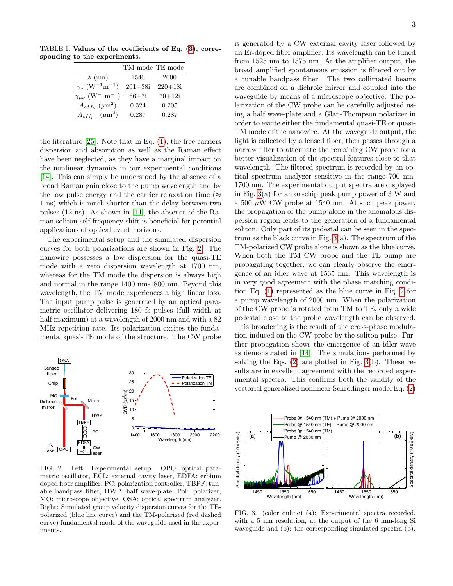TABLE I. Values of the coefficients of Eq. [\(3\)](#page-1-1), corresponding to the experiments.

<span id="page-2-0"></span>

|                                                      | TM-mode TE-mode |             |
|------------------------------------------------------|-----------------|-------------|
| $\lambda$ (nm)                                       | 1540            | 2000        |
| $\gamma_{\nu}$ (W <sup>-1</sup> m <sup>-1</sup> )    | $201 + 38i$     | $220 + 18i$ |
| $\gamma_{\mu\nu}$ (W <sup>-1</sup> m <sup>-1</sup> ) | $66 + 7i$       | $70 + 12i$  |
| $A_{eff_{\nu}}~(\mu\text{m}^2)$                      | 0.324           | 0.205       |
| $A_{eff_{\mu\nu}}$ ( $\mu$ m <sup>2</sup> )          | 0.287           | 0.287       |

the literature [\[25\]](#page-4-22). Note that in Eq. [\(1\)](#page-1-2), the free carriers dispersion and absorption as well as the Raman effect have been neglected, as they have a marginal impact on the nonlinear dynamics in our experimental conditions [\[14\]](#page-4-12). This can simply be understood by the absence of a broad Raman gain close to the pump wavelength and by the low pulse energy and the carrier relaxation time ( $\approx$ 1 ns) which is much shorter than the delay between two pulses (12 ns). As shown in [\[14\]](#page-4-12), the absence of the Raman soliton self frequency shift is beneficial for potential applications of optical event horizons.

The experimental setup and the simulated dispersion curves for both polarizations are shown in Fig. [2.](#page-2-1) The nanowire possesses a low dispersion for the quasi-TE mode with a zero dispersion wavelength at 1700 nm, whereas for the TM mode the dispersion is always high and normal in the range 1400 nm-1800 nm. Beyond this wavelength, the TM mode experiences a high linear loss. The input pump pulse is generated by an optical parametric oscillator delivering 180 fs pulses (full width at half maximum) at a wavelength of 2000 nm and with a 82 MHz repetition rate. Its polarization excites the fundamental quasi-TE mode of the structure. The CW probe



<span id="page-2-1"></span>FIG. 2. Left: Experimental setup. OPO: optical parametric oscillator, ECL: external cavity laser, EDFA: erbium doped fiber amplifier, PC: polarization controller, TBPF: tunable bandpass filter, HWP: half wave-plate, Pol: polarizer, MO: microscope objective, OSA: optical spectrum analyzer. Right: Simulated group velocity dispersion curves for the TEpolarized (blue line curve) and the TM-polarized (red dashed curve) fundamental mode of the waveguide used in the experiments.

is generated by a CW external cavity laser followed by an Er-doped fiber amplifier. Its wavelength can be tuned from 1525 nm to 1575 nm. At the amplifier output, the broad amplified spontaneous emission is filtered out by a tunable bandpass filter. The two collimated beams are combined on a dichroic mirror and coupled into the waveguide by means of a microscope objective. The polarization of the CW probe can be carefully adjusted using a half wave-plate and a Glan-Thompson polarizer in order to excite either the fundamental quasi-TE or quasi-TM mode of the nanowire. At the waveguide output, the light is collected by a lensed fiber, then passes through a narrow filter to attenuate the remaining CW probe for a better visualization of the spectral features close to that wavelength. The filtered spectrum is recorded by an optical spectrum analyzer sensitive in the range 700 nm-1700 nm. The experimental output spectra are displayed in Fig. [3\(](#page-2-2)a) for an on-chip peak pump power of 3 W and a 500  $\mu$ W CW probe at 1540 nm. At such peak power, the propagation of the pump alone in the anomalous dispersion region leads to the generation of a fundamental soliton. Only part of its pedestal can be seen in the spectrum as the black curve in Fig.  $3(a)$ . The spectrum of the TM-polarized CW probe alone is shown as the blue curve. When both the TM CW probe and the TE pump are propagating together, we can clearly observe the emergence of an idler wave at 1565 nm. This wavelength is in very good agreement with the phase matching condition Eq. [\(1\)](#page-1-0) represented as the blue curve in Fig. [2](#page-2-1) for a pump wavelength of 2000 nm. When the polarization of the CW probe is rotated from TM to TE, only a wide pedestal close to the probe wavelength can be observed. This broadening is the result of the cross-phase modulation induced on the CW probe by the soliton pulse. Further propagation shows the emergence of an idler wave as demonstrated in [\[14\]](#page-4-12). The simulations performed by solving the Eqs. [\(2\)](#page-1-3) are plotted in Fig. [3\(](#page-2-2)b). These results are in excellent agreement with the recorded experimental spectra. This confirms both the validity of the vectorial generalized nonlinear Schrödinger model Eq.  $(2)$ 



<span id="page-2-2"></span>FIG. 3. (color online) (a): Experimental spectra recorded, with a 5 nm resolution, at the output of the 6 mm-long Si waveguide and (b): the corresponding simulated spectra (b).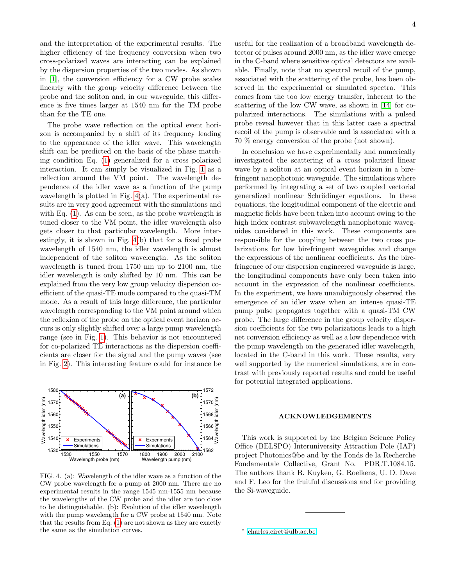and the interpretation of the experimental results. The higher efficiency of the frequency conversion when two cross-polarized waves are interacting can be explained by the dispersion properties of the two modes. As shown in [\[1\]](#page-4-0), the conversion efficiency for a CW probe scales linearly with the group velocity difference between the probe and the soliton and, in our waveguide, this difference is five times larger at 1540 nm for the TM probe than for the TE one.

The probe wave reflection on the optical event horizon is accompanied by a shift of its frequency leading to the appearance of the idler wave. This wavelength shift can be predicted on the basis of the phase matching condition Eq. [\(1\)](#page-1-2) generalized for a cross polarized interaction. It can simply be visualized in Fig. [1](#page-1-0) as a reflection around the VM point. The wavelength dependence of the idler wave as a function of the pump wavelength is plotted in Fig. [4\(](#page-3-1)a). The experimental results are in very good agreement with the simulations and with Eq. [\(1\)](#page-1-2). As can be seen, as the probe wavelength is tuned closer to the VM point, the idler wavelength also gets closer to that particular wavelength. More interestingly, it is shown in Fig. [4\(](#page-3-1)b) that for a fixed probe wavelength of 1540 nm, the idler wavelength is almost independent of the soliton wavelength. As the soliton wavelength is tuned from 1750 nm up to 2100 nm, the idler wavelength is only shifted by 10 nm. This can be explained from the very low group velocity dispersion coefficient of the quasi-TE mode compared to the quasi-TM mode. As a result of this large difference, the particular wavelength corresponding to the VM point around which the reflexion of the probe on the optical event horizon occurs is only slightly shifted over a large pump wavelength range (see in Fig. [1\)](#page-1-0). This behavior is not encountered for co-polarized TE interactions as the dispersion coefficients are closer for the signal and the pump waves (see in Fig. [2\)](#page-2-1). This interesting feature could for instance be



<span id="page-3-1"></span>FIG. 4. (a): Wavelength of the idler wave as a function of the CW probe wavelength for a pump at 2000 nm. There are no experimental results in the range 1545 nm-1555 nm because the wavelengths of the CW probe and the idler are too close to be distinguishable. (b): Evolution of the idler wavelength with the pump wavelength for a CW probe at 1540 nm. Note that the results from Eq. [\(1\)](#page-1-2) are not shown as they are exactly the same as the simulation curves.

useful for the realization of a broadband wavelength detector of pulses around 2000 nm, as the idler wave emerge in the C-band where sensitive optical detectors are available. Finally, note that no spectral recoil of the pump, associated with the scattering of the probe, has been observed in the experimental or simulated spectra. This comes from the too low energy transfer, inherent to the scattering of the low CW wave, as shown in [\[14\]](#page-4-12) for copolarized interactions. The simulations with a pulsed probe reveal however that in this latter case a spectral recoil of the pump is observable and is associated with a 70 % energy conversion of the probe (not shown).

In conclusion we have experimentally and numerically investigated the scattering of a cross polarized linear wave by a soliton at an optical event horizon in a birefringent nanophotonic waveguide. The simulations where performed by integrating a set of two coupled vectorial generalized nonlinear Schrödinger equations. In these equations, the longitudinal component of the electric and magnetic fields have been taken into account owing to the high index contrast subwavelength nanophotonic waveguides considered in this work. These components are responsible for the coupling between the two cross polarizations for low birefringent waveguides and change the expressions of the nonlinear coefficients. As the birefringence of our dispersion engineered waveguide is large, the longitudinal components have only been taken into account in the expression of the nonlinear coefficients. In the experiment, we have unambiguously observed the emergence of an idler wave when an intense quasi-TE pump pulse propagates together with a quasi-TM CW probe. The large difference in the group velocity dispersion coefficients for the two polarizations leads to a high net conversion efficiency as well as a low dependence with the pump wavelength on the generated idler wavelength, located in the C-band in this work. These results, very well supported by the numerical simulations, are in contrast with previously reported results and could be useful for potential integrated applications.

## ACKNOWLEDGEMENTS

This work is supported by the Belgian Science Policy Office (BELSPO) Interuniversity Attraction Pole (IAP) project Photonics@be and by the Fonds de la Recherche Fondamentale Collective, Grant No. PDR.T.1084.15. The authors thank B. Kuyken, G. Roelkens, U. D. Dave and F. Leo for the fruitful discussions and for providing the Si-waveguide.

<span id="page-3-0"></span><sup>∗</sup> [charles.ciret@ulb.ac.be](mailto:charles.ciret@ulb.ac.be)